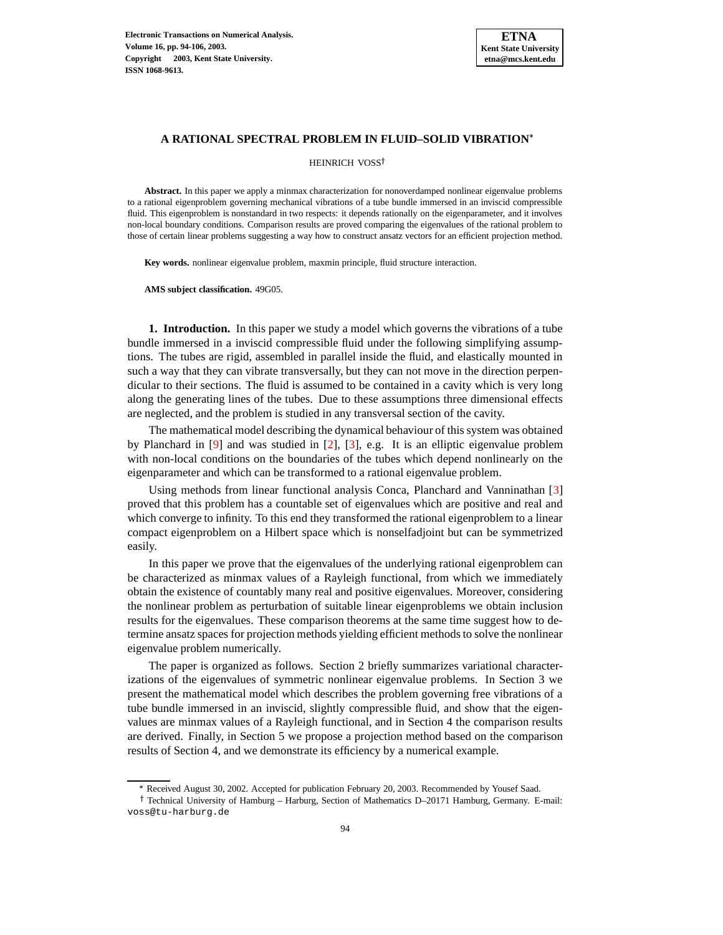

### **A RATIONAL SPECTRAL PROBLEM IN FLUID–SOLID VIBRATION**

HEINRICH VOSS<sup>†</sup>

**Abstract.** In this paper we apply a minmax characterization for nonoverdamped nonlinear eigenvalue problems to a rational eigenproblem governing mechanical vibrations of a tube bundle immersed in an inviscid compressible fluid. This eigenproblem is nonstandard in two respects: it depends rationally on the eigenparameter, and it involves non-local boundary conditions. Comparison results are proved comparing the eigenvalues of the rational problem to those of certain linear problems suggesting a way how to construct ansatz vectors for an efficient projection method.

**Key words.** nonlinear eigenvalue problem, maxmin principle, fluid structure interaction.

**AMS subject classification.** 49G05.

**1. Introduction.** In this paper we study a model which governs the vibrations of a tube bundle immersed in a inviscid compressible fluid under the following simplifying assumptions. The tubes are rigid, assembled in parallel inside the fluid, and elastically mounted in such a way that they can vibrate transversally, but they can not move in the direction perpendicular to their sections. The fluid is assumed to be contained in a cavity which is very long along the generating lines of the tubes. Due to these assumptions three dimensional effects are neglected, and the problem is studied in any transversal section of the cavity.

The mathematical model describing the dynamical behaviour of this system was obtained by Planchard in [\[9\]](#page-12-0) and was studied in [\[2\]](#page-12-1), [\[3\]](#page-12-2), e.g. It is an elliptic eigenvalue problem with non-local conditions on the boundaries of the tubes which depend nonlinearly on the eigenparameter and which can be transformed to a rational eigenvalue problem.

Using methods from linear functional analysis Conca, Planchard and Vanninathan [\[3\]](#page-12-2) proved that this problem has a countable set of eigenvalues which are positive and real and which converge to infinity. To this end they transformed the rational eigenproblem to a linear compact eigenproblem on a Hilbert space which is nonselfadjoint but can be symmetrized easily.

In this paper we prove that the eigenvalues of the underlying rational eigenproblem can be characterized as minmax values of a Rayleigh functional, from which we immediately obtain the existence of countably many real and positive eigenvalues. Moreover, considering the nonlinear problem as perturbation of suitable linear eigenproblems we obtain inclusion results for the eigenvalues. These comparison theorems at the same time suggest how to determine ansatz spaces for projection methods yielding efficient methodsto solve the nonlinear eigenvalue problem numerically.

The paper is organized as follows. Section 2 briefly summarizes variational characterizations of the eigenvalues of symmetric nonlinear eigenvalue problems. In Section 3 we present the mathematical model which describes the problem governing free vibrations of a tube bundle immersed in an inviscid, slightly compressible fluid, and show that the eigenvalues are minmax values of a Rayleigh functional, and in Section 4 the comparison results are derived. Finally, in Section 5 we propose a projection method based on the comparison results of Section 4, and we demonstrate its efficiency by a numerical example.

<sup>-</sup> Received August 30, 2002. Accepted for publication February 20, 2003. Recommended by Yousef Saad.

<sup>&</sup>lt;sup>†</sup> Technical University of Hamburg – Harburg, Section of Mathematics D–20171 Hamburg, Germany. E-mail: voss@tu-harburg.de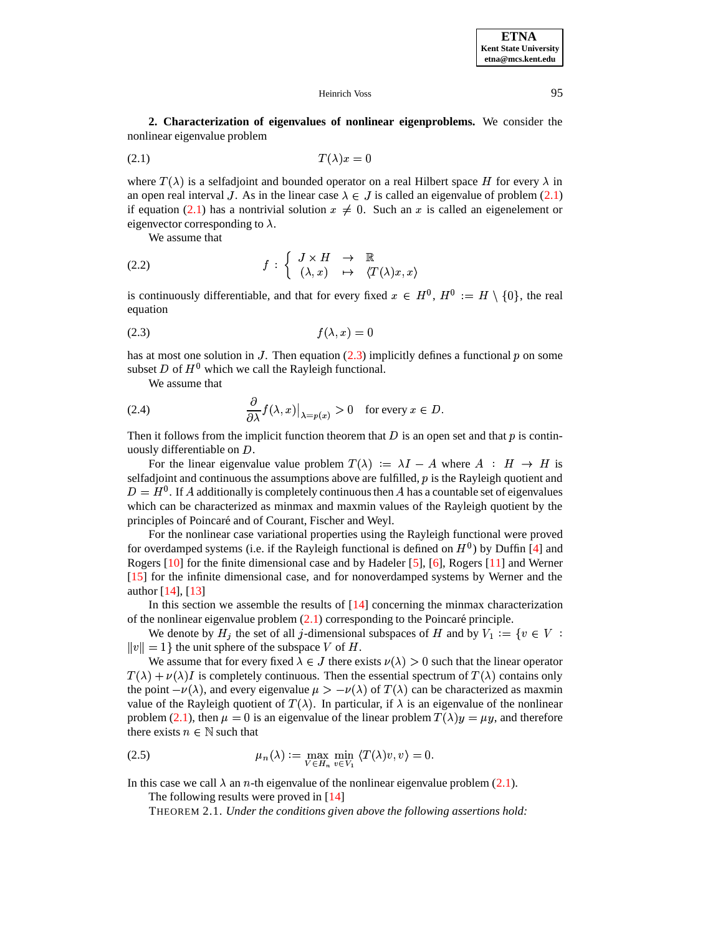**2. Characterization of eigenvalues of nonlinear eigenproblems.** We consider the nonlinear eigenvalue problem

<span id="page-1-0"></span>
$$
(2.1) \t\t T(\lambda)x = 0
$$

where  $T(\lambda)$  is a selfadjoint and bounded operator on a real Hilbert space H for every  $\lambda$  in an open real interval J. As in the linear case  $\lambda \in J$  is called an eigenvalue of problem [\(2.1\)](#page-1-0) if equation [\(2.1\)](#page-1-0) has a nontrivial solution  $x \neq 0$ . Such an x is called an eigenelement or eigenvector corresponding to  $\lambda$ .

We assume that

(2.2) 
$$
f: \left\{ \begin{array}{ccc} J \times H & \to & \mathbb{R} \\ (\lambda, x) & \mapsto & \langle T(\lambda)x, x \rangle \end{array} \right.
$$

is continuously differentiable, and that for every fixed  $x \in H^0$ ,  $H^0 := H \setminus \{0\}$ , the real equation

<span id="page-1-1"></span>
$$
(2.3) \t\t f(\lambda, x) = 0
$$

has at most one solution in J. Then equation  $(2.3)$  implicitly defines a functional p on some subset D of  $H^0$  which we call the Rayleigh functional.

We assume that

(2.4) 
$$
\frac{\partial}{\partial \lambda} f(\lambda, x)|_{\lambda = p(x)} > 0 \text{ for every } x \in D.
$$

Then it follows from the implicit function theorem that D is an open set and that  $p$  is continuously differentiable on D.

For the linear eigenvalue value problem  $T(\lambda) := \lambda I - A$  where  $A : H \to H$  is selfadjoint and continuous the assumptions above are fulfilled,  $p$  is the Rayleigh quotient and  $D = H^0$ . If A additionally is completely continuous then A has a countable set of eigenvalues which can be characterized as minmax and maxmin values of the Rayleigh quotient by the principles of Poincaré and of Courant, Fischer and Weyl.

For the nonlinear case variational properties using the Rayleigh functional were proved for overdamped systems (i.e. if the Rayleigh functional is defined on  $H^0$ ) by Duffin [\[4\]](#page-12-3) and Rogers [\[10\]](#page-12-4) for the finite dimensional case and by Hadeler [\[5\]](#page-12-5), [\[6\]](#page-12-6), Rogers [\[11\]](#page-12-7) and Werner [\[15\]](#page-12-8) for the infinite dimensional case, and for nonoverdamped systems by Werner and the author [\[14\]](#page-12-9), [\[13\]](#page-12-10)

In this section we assemble the results of [\[14\]](#page-12-9) concerning the minmax characterization of the nonlinear eigenvalue problem  $(2.1)$  corresponding to the Poincaré principle.

We denote by  $H_j$  the set of all j-dimensional subspaces of H and by  $V_1 := \{v \in V :$  $||v|| = 1$  the unit sphere of the subspace V of H.

We assume that for every fixed  $\lambda \in J$  there exists  $\nu(\lambda) > 0$  such that the linear operator  $T(\lambda) + \nu(\lambda)I$  is completely continuous. Then the essential spectrum of  $T(\lambda)$  contains only the point  $-\nu(\lambda)$ , and every eigenvalue  $\mu > -\nu(\lambda)$  of  $T(\lambda)$  can be characterized as maxmin value of the Rayleigh quotient of  $T(\lambda)$ . In particular, if  $\lambda$  is an eigenvalue of the nonlinear problem [\(2.1\)](#page-1-0), then  $\mu = 0$  is an eigenvalue of the linear problem  $T(\lambda)y = \mu y$ , and therefore there exists  $n \in \mathbb{N}$  such that

(2.5) 
$$
\mu_n(\lambda) := \max_{V \in H_n} \min_{v \in V_1} \langle T(\lambda)v, v \rangle = 0.
$$

In this case we call  $\lambda$  an *n*-th eigenvalue of the nonlinear eigenvalue problem [\(2.1\)](#page-1-0).

<span id="page-1-2"></span>The following results were proved in [\[14\]](#page-12-9)

THEOREM 2.1. *Under the conditions given above the following assertions hold:*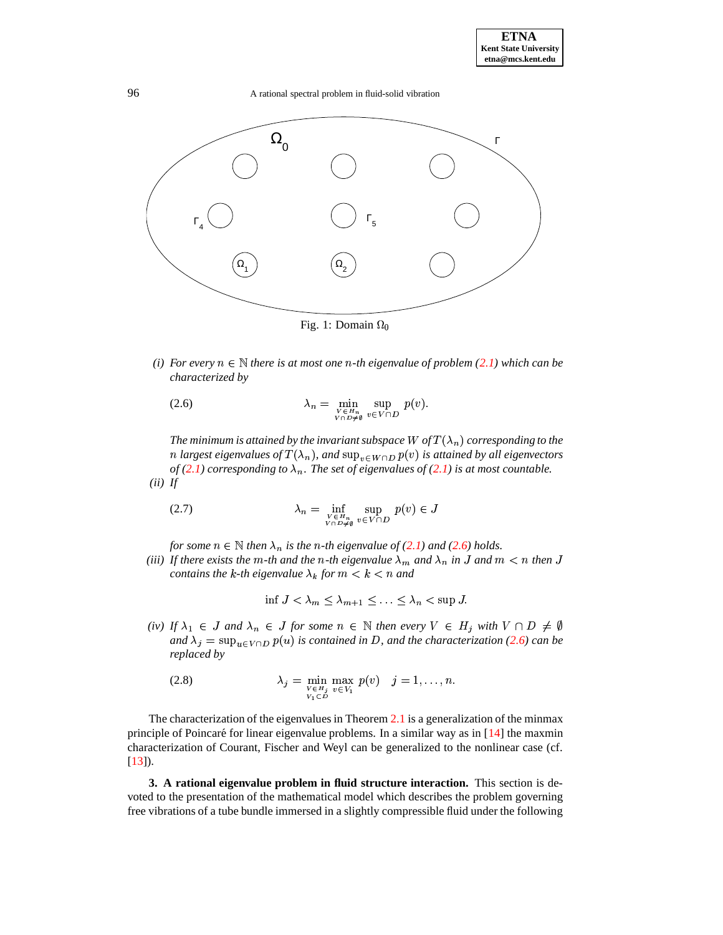

Fig. 1: Domain  $\Omega_0$ 

*(i) For every*  $n \in \mathbb{N}$  *there is at most one*  $n$ -th *eigenvalue of problem* [\(2.1\)](#page-1-0) *which can be characterized by*

<span id="page-2-0"></span>(2.6) 
$$
\lambda_n = \min_{\substack{v \in H_n \\ V \cap D \neq \emptyset}} \sup_{v \in V \cap D} p(v).
$$

The minimum is attained by the invariant subspace  $W$  of  $T(\lambda_n)$  corresponding to the  $n$  largest eigenvalues of  $T(\lambda_n)$ , and  $\sup_{v \in W \cap D} p(v)$  is attained by all eigenvectors  $of (2.1)$  $of (2.1)$  *corresponding to*  $\lambda_n$ . The set *of eigenvalues of* (2.1) *is at most countable. (ii) If*

$$
\lambda_n = \inf_{\substack{v \in H_n \\ V \cap D \neq \emptyset}} \sup_{v \in V \cap D} p(v) \in J
$$

*for some*  $n \in \mathbb{N}$  *then*  $\lambda_n$  *is the n*-*th eigenvalue of* [\(2.1\)](#page-1-0) *and* [\(2.6\)](#page-2-0) *holds.* 

*(iii)* If there exists the m-th and the n-th eigenvalue  $\lambda_m$  and  $\lambda_n$  in J and  $m < n$  then J *contains the k-th eigenvalue*  $\lambda_k$  *for*  $m < k < n$  *and* 

$$
\inf J < \lambda_m \le \lambda_{m+1} \le \ldots \le \lambda_n < \sup J.
$$

*(iv)* If  $\lambda_1 \in J$  and  $\lambda_n \in J$  for some  $n \in \mathbb{N}$  then every  $V \in H_j$  with  $V \cap D \neq \emptyset$ *and*  $\lambda_i = \sup_{u \in V \cap D} p(u)$  *is contained in D*, and the characterization [\(2.6\)](#page-2-0) can be *replaced by*

<span id="page-2-1"></span>
$$
\lambda_j = \min_{\substack{v \in H_j \\ v \in V_1}} \max_{v \in V_1} p(v) \quad j = 1, \dots, n.
$$

The characterization of the eigenvalues in Theorem [2.1](#page-1-2) is a generalization of the minmax principle of Poincaré for linear eigenvalue problems. In a similar way as in  $[14]$  the maxmin characterization of Courant, Fischer and Weyl can be generalized to the nonlinear case (cf.  $[13]$ .

**3. A rational eigenvalue problem in fluid structure interaction.** This section is devoted to the presentation of the mathematical model which describes the problem governing free vibrations of a tube bundle immersed in a slightly compressible fluid under the following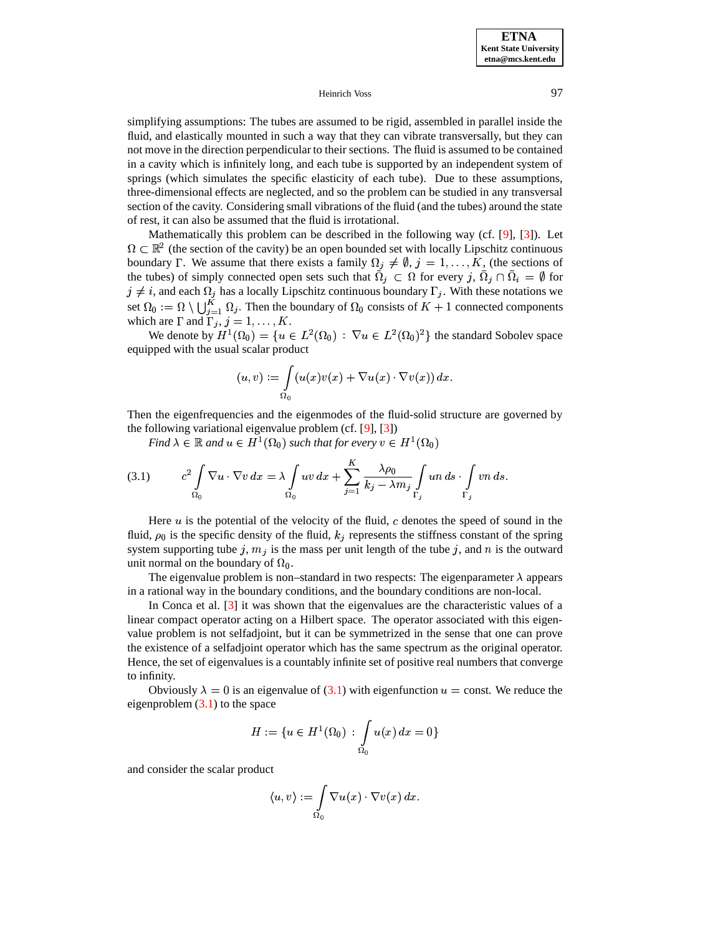simplifying assumptions: The tubes are assumed to be rigid, assembled in parallel inside the fluid, and elastically mounted in such a way that they can vibrate transversally, but they can not move in the direction perpendicular to their sections. The fluid is assumed to be contained in a cavity which is infinitely long, and each tube is supported by an independent system of springs (which simulates the specific elasticity of each tube). Due to these assumptions, three-dimensional effects are neglected, and so the problem can be studied in any transversal section of the cavity. Considering small vibrations of the fluid (and the tubes) around the state of rest, it can also be assumed that the fluid is irrotational.

Mathematically this problem can be described in the following way (cf. [\[9\]](#page-12-0), [\[3\]](#page-12-2)). Let -- = -- , ---- -------- - $<sup>2</sup>$  (the section of the cavity) be an open bounded set with locally Lipschitz continuous</sup> boundary  $\Gamma$ . We assume that there exists a family  $\Omega_j \neq \emptyset$ ,  $j = 1, \ldots, K$ , (the sections of the tubes) of simply connected open sets such that  $\Omega_j \subset \Omega$  for every  $j, \Omega_j \cap \Omega_i = \emptyset$  for  $j \neq i$ , and each  $\Omega_j$  has a locally Lipschitz continuous boundary  $\Gamma_j$ . With these notations we set  $\Omega_0 := \Omega \setminus \bigcup_{i=1}^n \Omega_i$ . Then the boundary of  $\Omega_0$  consists of  $K + 1$  connected components which are  $\Gamma$  and  $\Gamma_j$ ,  $j = 1, \ldots, K$ .

We denote by  $H^1(\Omega_0) = \{u \in L^2(\Omega_0) : \nabla u \in L^2(\Omega_0)^2\}$  the standard Sobolev space equipped with the usual scalar product

$$
(u,v):=\int\limits_{\Omega_0}(u(x)v(x)+\nabla u(x)\cdot\nabla v(x))\,dx.
$$

Then the eigenfrequencies and the eigenmodes of the fluid-solid structure are governed by the following variational eigenvalue problem (cf. [\[9\]](#page-12-0), [\[3\]](#page-12-2))

*Find*  $\lambda \in \mathbb{R}$  and  $u \in H^1(\Omega_0)$  such that for every  $v \in H^1(\Omega_0)$ 

<span id="page-3-0"></span>(3.1) 
$$
c^2 \int\limits_{\Omega_0} \nabla u \cdot \nabla v \, dx = \lambda \int\limits_{\Omega_0} uv \, dx + \sum_{j=1}^K \frac{\lambda \rho_0}{k_j - \lambda m_j} \int\limits_{\Gamma_j} un \, ds \cdot \int\limits_{\Gamma_j} vn \, ds.
$$

Here  $u$  is the potential of the velocity of the fluid,  $c$  denotes the speed of sound in the fluid,  $\rho_0$  is the specific density of the fluid,  $k_j$  represents the stiffness constant of the spring system supporting tube j,  $m_j$  is the mass per unit length of the tube j, and n is the outward unit normal on the boundary of  $\Omega_0$ .

The eigenvalue problem is non–standard in two respects: The eigenparameter  $\lambda$  appears in a rational way in the boundary conditions, and the boundary conditions are non-local.

In Conca et al. [\[3\]](#page-12-2) it was shown that the eigenvalues are the characteristic values of a linear compact operator acting on a Hilbert space. The operator associated with this eigenvalue problem is not selfadjoint, but it can be symmetrized in the sense that one can prove the existence of a selfadjoint operator which has the same spectrum as the original operator. Hence, the set of eigenvalues is a countably infinite set of positive real numbers that converge to infinity.

Obviously  $\lambda = 0$  is an eigenvalue of [\(3.1\)](#page-3-0) with eigenfunction  $u = \text{const.}$  We reduce the eigenproblem  $(3.1)$  to the space

$$
H := \{ u \in H^1(\Omega_0) \, : \, \int\limits_{\Omega_0} u(x) \, dx = 0 \}
$$

and consider the scalar product

$$
\langle u,v\rangle:=\int\limits_{\Omega_0}\nabla u(x)\cdot\nabla v(x)\,dx.
$$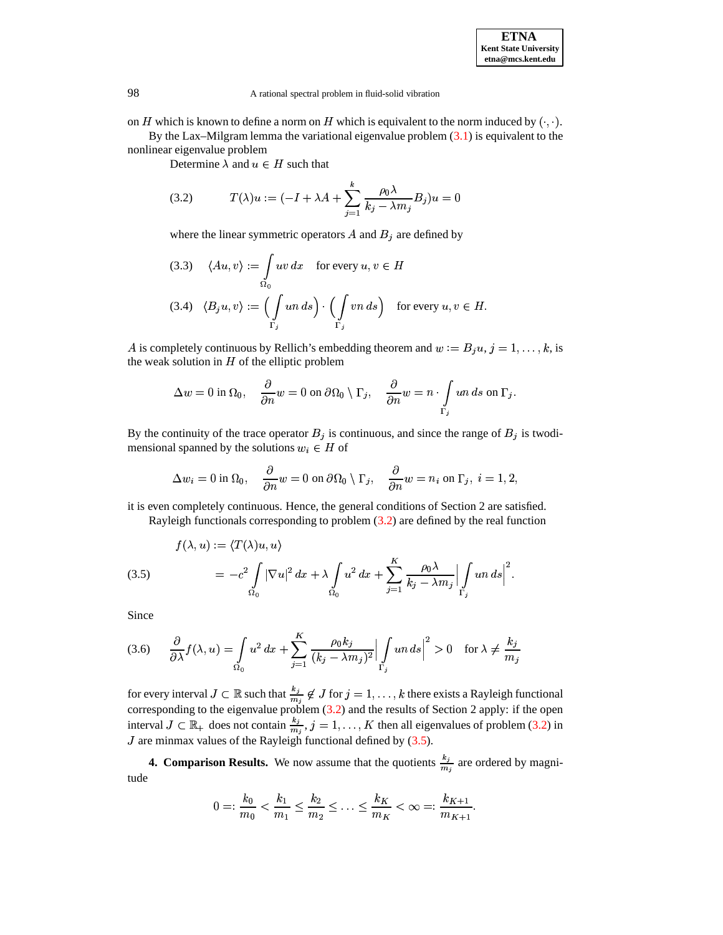on H which is known to define a norm on H which is equivalent to the norm induced by  $(\cdot, \cdot)$ .

By the Lax–Milgram lemma the variational eigenvalue problem  $(3.1)$  is equivalent to the nonlinear eigenvalue problem

Determine  $\lambda$  and  $u \in H$  such that

<span id="page-4-0"></span>(3.2) 
$$
T(\lambda)u := (-I + \lambda A + \sum_{j=1}^{k} \frac{\rho_0 \lambda}{k_j - \lambda m_j} B_j)u = 0
$$

where the linear symmetric operators  $A$  and  $B_i$  are defined by

(3.3) 
$$
\langle Au, v \rangle := \int_{\Omega_0} uv \, dx
$$
 for every  $u, v \in H$   
(3.4)  $\langle B_j u, v \rangle := \left( \int_{\Gamma_j} un \, ds \right) \cdot \left( \int_{\Gamma_j} v n \, ds \right)$  for every  $u, v \in H$ .

A is completely continuous by Rellich's embedding theorem and  $w := B_i u, j = 1, \ldots, k$ , is the weak solution in  $H$  of the elliptic problem

$$
\Delta w = 0 \text{ in } \Omega_0, \quad \frac{\partial}{\partial n} w = 0 \text{ on } \partial \Omega_0 \setminus \Gamma_j, \quad \frac{\partial}{\partial n} w = n \cdot \int_{\Gamma_j} u_n \, ds \text{ on } \Gamma_j.
$$

By the continuity of the trace operator  $B_j$  is continuous, and since the range of  $B_j$  is twodimensional spanned by the solutions  $w_i \in H$  of

$$
\Delta w_i = 0 \text{ in } \Omega_0, \quad \frac{\partial}{\partial n} w = 0 \text{ on } \partial \Omega_0 \setminus \Gamma_j, \quad \frac{\partial}{\partial n} w = n_i \text{ on } \Gamma_j, \ i = 1, 2,
$$

it is even completely continuous. Hence, the general conditions of Section 2 are satisfied. Rayleigh functionals corresponding to problem [\(3.2\)](#page-4-0) are defined by the real function

<span id="page-4-1"></span>(3.5) 
$$
f(\lambda, u) := \langle T(\lambda)u, u \rangle
$$

$$
= -c^2 \int_{\Omega_0} |\nabla u|^2 dx + \lambda \int_{\Omega_0} u^2 dx + \sum_{j=1}^K \frac{\rho_0 \lambda}{k_j - \lambda m_j} \Big| \int_{\Gamma_j} u \, ds \Big|^2.
$$

Since

$$
(3.6) \qquad \frac{\partial}{\partial \lambda} f(\lambda, u) = \int_{\Omega_0} u^2 \, dx + \sum_{j=1}^K \frac{\rho_0 k_j}{(k_j - \lambda m_j)^2} \Big| \int_{\Gamma_j} u n \, ds \Big|^2 > 0 \quad \text{for } \lambda \neq \frac{k_j}{m_j}
$$

for every interval  $J \subset \mathbb{R}$  such that  $\frac{k_j}{m} \notin J$  for  $j = 1, \ldots, k$  there exists a Rayleigh functional corresponding to the eigenvalue problem  $(3.2)$  and the results of Section 2 apply: if the open interval  $J \subset \mathbb{R}_+$  does not contain  $\frac{k_j}{m_j}$ ,  $j = 1, ..., K$  then all eigenvalues of problem [\(3.2\)](#page-4-0) in  $J$  are minmax values of the Rayleigh functional defined by [\(3.5\)](#page-4-1).

**4. Comparison Results.** We now assume that the quotients  $\frac{k_j}{m}$  are ordered by magnitude

$$
0 =: \frac{k_0}{m_0} < \frac{k_1}{m_1} \leq \frac{k_2}{m_2} \leq \ldots \leq \frac{k_K}{m_K} < \infty =: \frac{k_{K+1}}{m_{K+1}}.
$$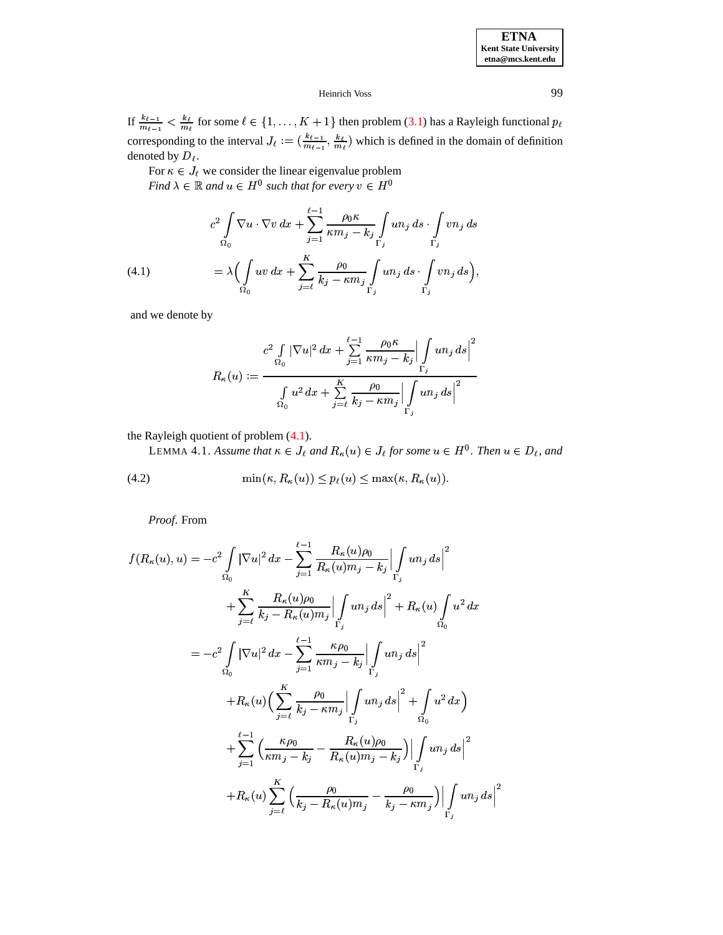**ETNA Kent State University etna@mcs.kent.edu**

> 77 S 77 S  $|^{2}$

# Heinrich Voss 99

If  $\frac{k_{\ell-1}}{m_{\ell-1}} < \frac{k_{\ell}}{m_{\ell}}$  $\sim m_t$  <sup>101</sup> <sup>50111</sup>  $\frac{k_{\ell}}{m_{\ell}}$  for some  $\ell \in \{1, \ldots, K+1\}$  then problem [\(3.1\)](#page-3-0) has a Rayleigh functional  $p_{\ell}$ corresponding to the interval  $J_{\ell} := (\frac{k_{\ell-1}}{m_{\ell-1}}, \frac{k_{\ell}}{m_{\ell}})$  v  $\left(\frac{-1}{n} \cdot \frac{k_{\ell}}{m_{\ell}}\right)$  which is defined in the domain of definition denoted by  $D_{\ell}$ .

For  $\kappa \in J_{\ell}$  we consider the linear eigenvalue problem *Find*  $\lambda \in \mathbb{R}$  and  $u \in H^0$  such that for every  $v \in H^0$ 

<span id="page-5-0"></span>(4.1) 
$$
c^2 \int_{\Omega_0} \nabla u \cdot \nabla v \, dx + \sum_{j=1}^{\ell-1} \frac{\rho_0 \kappa}{\kappa m_j - k_j} \int_{\Gamma_j} u n_j \, ds \cdot \int_{\Gamma_j} v n_j \, ds
$$

$$
= \lambda \Big( \int_{\Omega_0} u v \, dx + \sum_{j=\ell}^K \frac{\rho_0}{k_j - \kappa m_j} \int_{\Gamma_j} u n_j \, ds \cdot \int_{\Gamma_j} v n_j \, ds \Big),
$$

and we denote by

$$
R_{\kappa}(u):=\dfrac{c^2\int\limits_{\Omega_0}|\nabla u|^2~dx+\displaystyle\sum_{j=1}^{\ell-1}\dfrac{\rho_0\kappa}{\kappa m_j-k_j}\Bigl|\int\limits_{\Gamma_j}un_j~ds\Bigr|^2}{\int\limits_{\Omega_0}u^2~dx+\displaystyle\sum_{j=\ell}^K\dfrac{\rho_0}{k_j-\kappa m_j}\Bigl|\int\limits_{\Gamma_j}un_j~ds\Bigr|^2}
$$

<span id="page-5-1"></span>the Rayleigh quotient of problem [\(4.1\)](#page-5-0).

LEMMA 4.1. Assume that  $\kappa \in J_{\ell}$  and  $R_{\kappa}(u) \in J_{\ell}$  for some  $u \in H^0$ . Then  $u \in D_{\ell}$ , and

(4.2) 
$$
\min(\kappa, R_{\kappa}(u)) \leq p_{\ell}(u) \leq \max(\kappa, R_{\kappa}(u)).
$$

*Proof*. From

$$
f(R_{\kappa}(u), u) = -c^{2} \int_{\Omega_{0}} |\nabla u|^{2} dx - \sum_{j=1}^{\ell-1} \frac{R_{\kappa}(u)\rho_{0}}{R_{\kappa}(u)m_{j} - k_{j}} \Big| \int_{\Gamma_{j}} u n_{j} ds \Big|^{2}
$$
  
+ 
$$
\sum_{j=\ell}^{K} \frac{R_{\kappa}(u)\rho_{0}}{k_{j} - R_{\kappa}(u)m_{j}} \Big| \int_{\Gamma_{j}} u n_{j} ds \Big|^{2} + R_{\kappa}(u) \int_{\Omega_{0}} u^{2} dx
$$
  
= 
$$
-c^{2} \int_{\Omega_{0}} |\nabla u|^{2} dx - \sum_{j=1}^{\ell-1} \frac{\kappa \rho_{0}}{\kappa m_{j} - k_{j}} \Big| \int_{\Gamma_{j}} u n_{j} ds \Big|^{2}
$$
  
+ 
$$
R_{\kappa}(u) \Big( \sum_{j=\ell}^{K} \frac{\rho_{0}}{k_{j} - \kappa m_{j}} \Big| \int_{\Gamma_{j}} u n_{j} ds \Big|^{2} + \int_{\Omega_{0}} u^{2} dx \Big)
$$
  
+ 
$$
\sum_{j=1}^{\ell-1} \Big( \frac{\kappa \rho_{0}}{\kappa m_{j} - k_{j}} - \frac{R_{\kappa}(u)\rho_{0}}{R_{\kappa}(u)m_{j} - k_{j}} \Big) \Big| \int_{\Gamma_{j}} u n_{j} ds \Big|^{2}
$$
  
+ 
$$
R_{\kappa}(u) \sum_{j=\ell}^{K} \Big( \frac{\rho_{0}}{\kappa_{j} - R_{\kappa}(u)m_{j}} - \frac{\rho_{0}}{k_{j} - \kappa m_{j}} \Big) \Big| \int_{\Gamma_{j}} u n_{j} ds \Big|^{2}
$$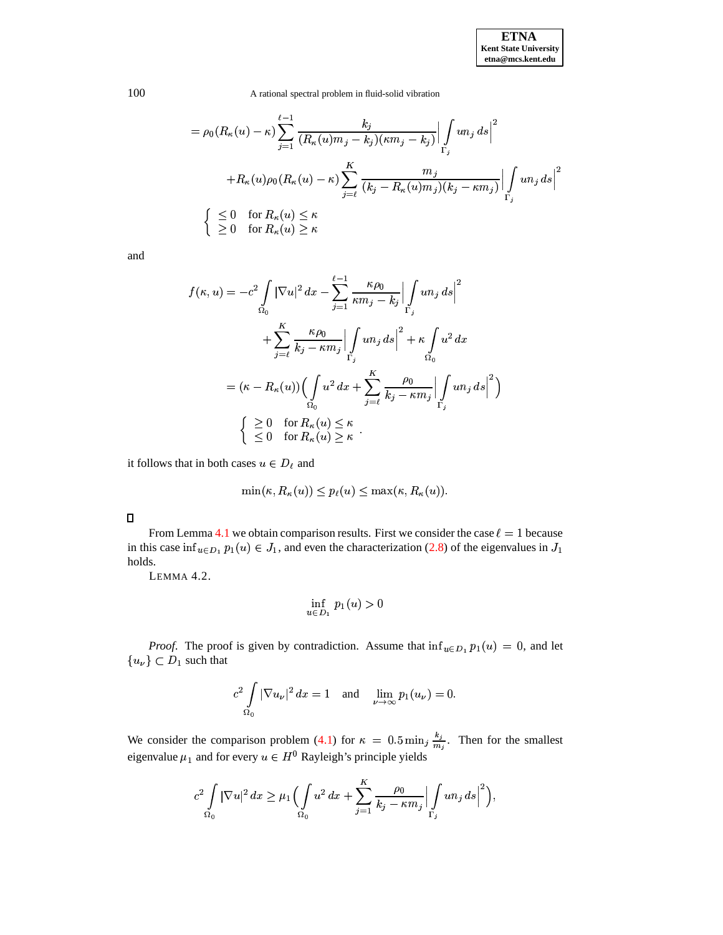$$
= \rho_0(R_{\kappa}(u) - \kappa) \sum_{j=1}^{\ell-1} \frac{k_j}{(R_{\kappa}(u)m_j - k_j)(\kappa m_j - k_j)} \Big| \int_{\Gamma_j} u n_j ds \Big|^2
$$
  
+  $R_{\kappa}(u)\rho_0(R_{\kappa}(u) - \kappa) \sum_{j=\ell}^K \frac{m_j}{(k_j - R_{\kappa}(u)m_j)(k_j - \kappa m_j)} \Big| \int_{\Gamma_j} u n_j ds \Big|^2$   
 $\Big\{ \sum_{j=1}^{\ell-1} 0 \quad \text{for } R_{\kappa}(u) \le \kappa \Big\}$ 

and

$$
f(\kappa, u) = -c^2 \int_{\Omega_0} |\nabla u|^2 dx - \sum_{j=1}^{\ell-1} \frac{\kappa \rho_0}{\kappa m_j - k_j} \Big| \int_{\Gamma_j} u n_j ds \Big|^2
$$
  
+ 
$$
\sum_{j=\ell}^K \frac{\kappa \rho_0}{k_j - \kappa m_j} \Big| \int_{\Gamma_j} u n_j ds \Big|^2 + \kappa \int_{\Omega_0} u^2 dx
$$
  
= 
$$
(\kappa - R_\kappa(u)) \Big( \int_{\Omega_0} u^2 dx + \sum_{j=\ell}^K \frac{\rho_0}{k_j - \kappa m_j} \Big| \int_{\Gamma_j} u n_j ds \Big|^2 \Big)
$$
  

$$
\Big\{ \sum_{j=0}^{\infty} 0 \quad \text{for } R_\kappa(u) \le \kappa \Big\}
$$
  

$$
\le 0 \quad \text{for } R_\kappa(u) \ge \kappa
$$

it follows that in both cases  $u \in D_\ell$  and

$$
\min(\kappa, R_{\kappa}(u)) \le p_{\ell}(u) \le \max(\kappa, R_{\kappa}(u)).
$$

<span id="page-6-0"></span>From Lemma [4.1](#page-5-1) we obtain comparison results. First we consider the case  $\ell = 1$  because in this case inf<sub>u $\epsilon D_1$ </sub>  $p_1(u) \in J_1$ , and even the characterization [\(2.8\)](#page-2-1) of the eigenvalues in  $J_1$ holds.

LEMMA 4.2.

$$
\inf_{u \in D_1} p_1(u) > 0
$$

*Proof.* The proof is given by contradiction. Assume that  $\inf_{u \in D_1} p_1(u) = 0$ , and let  ${u_\nu}\subset D_1$  such that

$$
c^2 \int\limits_{\Omega_0} |\nabla u_\nu|^2\,dx=1\quad\text{and}\quad \lim\limits_{\nu\to\infty} p_1(u_\nu)=0.
$$

We consider the comparison problem [\(4.1\)](#page-5-0) for  $\kappa = 0.5 \min_{i} \frac{\kappa_i}{m}$ . The  $\frac{k_j}{m}$ . Then for the smallest eigenvalue  $\mu_1$  and for every  $u \in H^0$  Rayleigh's principle yields

$$
c^2 \int\limits_{\Omega_0} |\nabla u|^2 \, dx \geq \mu_1 \Bigl( \int\limits_{\Omega_0} u^2 \, dx + \sum\limits_{j=1}^K \frac{\rho_0}{k_j - \kappa m_j} \Bigl| \int\limits_{\Gamma_j} un_j \, ds \Bigr|^2 \Bigr),
$$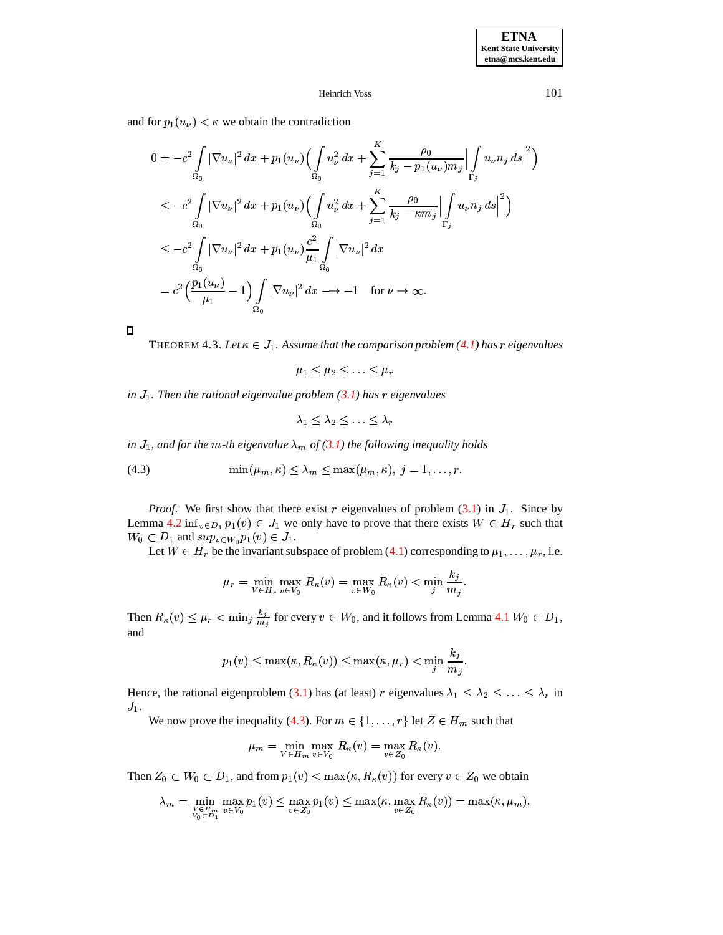and for  $p_1(u_\nu) < \kappa$  we obtain the contradiction

$$
0 = -c^2 \int_{\Omega_0} |\nabla u_{\nu}|^2 dx + p_1(u_{\nu}) \Big( \int_{\Omega_0} u_{\nu}^2 dx + \sum_{j=1}^K \frac{\rho_0}{k_j - p_1(u_{\nu})m_j} \Big| \int_{\Gamma_j} u_{\nu} n_j ds \Big|^2 \Big)
$$
  
\n
$$
\leq -c^2 \int_{\Omega_0} |\nabla u_{\nu}|^2 dx + p_1(u_{\nu}) \Big( \int_{\Omega_0} u_{\nu}^2 dx + \sum_{j=1}^K \frac{\rho_0}{k_j - \kappa m_j} \Big| \int_{\Gamma_j} u_{\nu} n_j ds \Big|^2 \Big)
$$
  
\n
$$
\leq -c^2 \int_{\Omega_0} |\nabla u_{\nu}|^2 dx + p_1(u_{\nu}) \frac{c^2}{\mu_1} \int_{\Omega_0} |\nabla u_{\nu}|^2 dx
$$
  
\n
$$
= c^2 \Big( \frac{p_1(u_{\nu})}{\mu_1} - 1 \Big) \int_{\Omega_0} |\nabla u_{\nu}|^2 dx \longrightarrow -1 \quad \text{for } \nu \to \infty.
$$

 $\blacksquare$ 

THEOREM 4.3. Let  $\kappa \in J_1$ . Assume that the comparison problem [\(4.1\)](#page-5-0) has r eigenvalues

 $\mu_1 \leq \mu_2 \leq \ldots \leq \mu_r$ 

*in* Q *. Then the rational eigenvalue problem [\(3.1\)](#page-3-0) has eigenvalues*

$$
\lambda_1\leq \lambda_2\leq \ldots \leq \lambda_r
$$

<span id="page-7-0"></span>*in*  $J_1$ , and for the  $m$ -th eigenvalue  $\lambda_m$  of [\(3.1\)](#page-3-0) the following inequality holds

(4.3) 
$$
\min(\mu_m, \kappa) \leq \lambda_m \leq \max(\mu_m, \kappa), \ j = 1, \dots, r.
$$

*Proof.* We first show that there exist r eigenvalues of problem  $(3.1)$  in  $J_1$ . Since by Lemma [4.2](#page-6-0) inf<sub>v</sub> $\epsilon_{D_1} p_1(v) \in J_1$  we only have to prove that there exists  $W \in H_r$  such that  $W_0 \subset D_1$  and  $sup_{v \in W_0} p_1(v) \in J_1$ .

Let  $W \in H_r$  be the invariant subspace of problem [\(4.1\)](#page-5-0) corresponding to  $\mu_1, \ldots, \mu_r$ , i.e.

$$
\mu_r = \min_{V \in H_r} \max_{v \in V_0} R_{\kappa}(v) = \max_{v \in W_0} R_{\kappa}(v) < \min_j \frac{k_j}{m_j}.
$$

Then  $R_{\kappa}(v) \leq \mu_r < \min_j \frac{k_j}{m_j}$  for every  $v \in W_0$ , and it follows from Lemma [4.1](#page-5-1)  $W_0 \subset D_1$ , and

$$
p_1(v) \leq \max(\kappa, R_\kappa(v)) \leq \max(\kappa, \mu_r) < \min_j \frac{k_j}{m_j}.
$$

Hence, the rational eigenproblem [\(3.1\)](#page-3-0) has (at least) r eigenvalues  $\lambda_1 \leq \lambda_2 \leq \ldots \leq \lambda_r$  in  $J_1$ .

We now prove the inequality [\(4.3\)](#page-7-0). For  $m \in \{1, ..., r\}$  let  $Z \in H_m$  such that

$$
\mu_m = \min_{V \in H_m} \max_{v \in V_0} R_{\kappa}(v) = \max_{v \in Z_0} R_{\kappa}(v).
$$

Then  $Z_0 \subset W_0 \subset D_1$ , and from  $p_1(v) \le \max(\kappa, R_\kappa(v))$  for every  $v \in Z_0$  we obtain

$$
\lambda_m = \min_{\substack{v \in H_m \\ v_0 \subset D_1}} \max_{v \in V_0} p_1(v) \le \max_{v \in Z_0} p_1(v) \le \max(\kappa, \max_{v \in Z_0} R_\kappa(v)) = \max(\kappa, \mu_m),
$$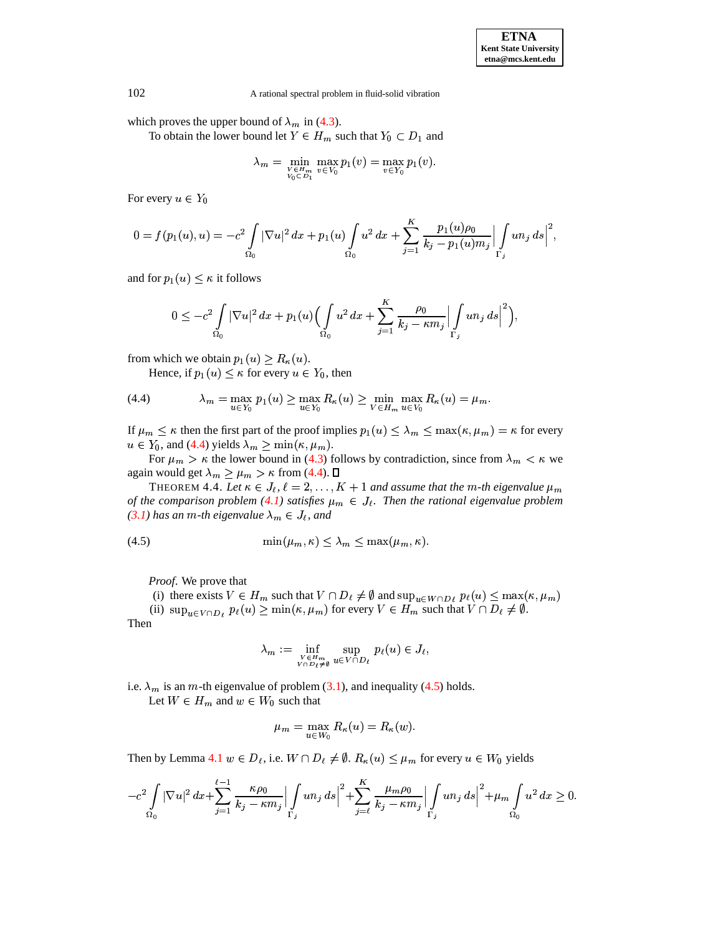which proves the upper bound of  $\lambda_m$  in [\(4.3\)](#page-7-0).

To obtain the lower bound let  $Y \in H_m$  such that  $Y_0 \subset D_1$  and

$$
\lambda_m = \min_{\substack{V \in H_m \\ V_0 \subset D_1}} \max_{v \in V_0} p_1(v) = \max_{v \in Y_0} p_1(v).
$$

For every  $u \in Y_0$ 

$$
0=f(p_1(u),u)=-c^2\int\limits_{\Omega_0}|\nabla u|^2\,dx+ p_1(u)\int\limits_{\Omega_0}u^2\,dx+\sum\limits_{j=1}^K\frac{p_1(u)\rho_0}{k_j-p_1(u)m_j}\Bigl|\int\limits_{\Gamma_j}un_j\,ds\Bigr|^2,
$$

and for  $p_1(u) \leq \kappa$  it follows

$$
0\leq-c^2\int\limits_{\Omega_0}|\nabla u|^2~dx+p_1(u)\Bigl(\int\limits_{\Omega_0}u^2~dx+\sum\limits_{j=1}^K\frac{\rho_0}{k_j-\kappa m_j}\Bigl|\int\limits_{\Gamma_j}un_j~ds\Bigr|^2\Bigr),
$$

from which we obtain  $p_1(u) \ge R_\kappa(u)$ .

Hence, if  $p_1(u) \leq \kappa$  for every  $u \in Y_0$ , then

<span id="page-8-0"></span>(4.4) 
$$
\lambda_m = \max_{u \in Y_0} p_1(u) \ge \max_{u \in Y_0} R_{\kappa}(u) \ge \min_{V \in H_m} \max_{u \in V_0} R_{\kappa}(u) = \mu_m.
$$

If  $\mu_m \leq \kappa$  then the first part of the proof implies  $p_1(u) \leq \lambda_m \leq \max(\kappa, \mu_m) = \kappa$  for every  $u \in Y_0$ , and [\(4.4\)](#page-8-0) yields  $\lambda_m \ge \min(\kappa, \mu_m)$ .

For  $\mu_m > \kappa$  the lower bound in [\(4.3\)](#page-7-0) follows by contradiction, since from  $\lambda_m < \kappa$  we again would get  $\lambda_m \geq \mu_m > \kappa$  from [\(4.4\)](#page-8-0).

THEOREM 4.4. Let  $\kappa \in J_{\ell}, \ell = 2, \ldots, K + 1$  and assume that the m-th eigenvalue  $\mu_m$ *of the comparison problem* [\(4.1\)](#page-5-0) *satisfies*  $\mu_m \in J_\ell$ . Then the rational eigenvalue problem *[\(3.1\)](#page-3-0) has an m-th eigenvalue*  $\lambda_m \in J_\ell$ *, and* 

<span id="page-8-1"></span>
$$
(4.5) \qquad \qquad \min(\mu_m, \kappa) \le \lambda_m \le \max(\mu_m, \kappa).
$$

*Proof*. We prove that

(i) there exists  $V \in H_m$  such that  $V \cap D_\ell \neq \emptyset$  and  $\sup_{u \in W \cap D_\ell} p_\ell(u) \leq \max(\kappa, \mu_m)$ 

(ii)  $\sup_{u \in V \cap D_{\ell}} p_{\ell}(u) \ge \min(\kappa, \mu_m)$  for every  $V \in H_m$  such that  $V \cap D_{\ell} \ne \emptyset$ .

Then

$$
\lambda_m := \inf_{\substack{V \in H_m \\ V \cap D_{\ell} \neq \emptyset}} \sup_{u \in V \cap D_{\ell}} p_{\ell}(u) \in J_{\ell},
$$

i.e.  $\lambda_m$  is an m-th eigenvalue of problem [\(3.1\)](#page-3-0), and inequality [\(4.5\)](#page-8-1) holds.

Let  $W \in H_m$  and  $w \in W_0$  such that

$$
\mu_m=\max_{u\in W_0}R_{\kappa}(u)=R_{\kappa}(w).
$$

Then by Lemma [4.1](#page-5-1)  $w \in D_{\ell}$ , i.e.  $W \cap D_{\ell} \neq \emptyset$ .  $R_{\kappa}(u) \leq \mu_m$  for every  $u \in W_0$  yields

$$
-c^2\int\limits_{\Omega_0}|\nabla u|^2\,dx+\sum_{j=1}^{\ell-1}\frac{\kappa\rho_0}{k_j-\kappa m_j}\Bigl|\int\limits_{\Gamma_j}un_j\,ds\Bigr|^2+\sum_{j=\ell}^K\frac{\mu_m\rho_0}{k_j-\kappa m_j}\Bigl|\int\limits_{\Gamma_j}un_j\,ds\Bigr|^2+\mu_m\int\limits_{\Omega_0}u^2\,dx\geq 0.
$$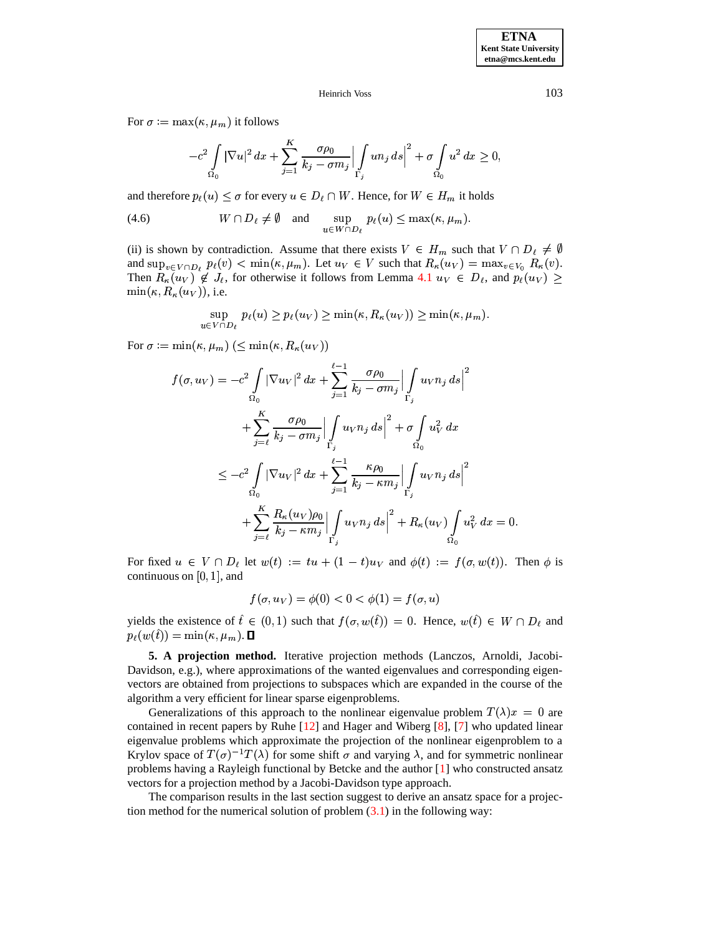For  $\sigma := \max(\kappa, \mu_m)$  it follows

$$
-c^2\int\limits_{\Omega_0}|\nabla u|^2\,dx+\sum_{j=1}^K\frac{\sigma\rho_0}{k_j-\sigma m_j}\Bigl|\int\limits_{\Gamma_j}un_j\,ds\Bigr|^2+\sigma\int\limits_{\Omega_0}u^2\,dx\geq 0,
$$

and therefore  $p_{\ell}(u) \leq \sigma$  for every  $u \in D_{\ell} \cap W$ . Hence, for  $W \in H_m$  it holds

(4.6) 
$$
W \cap D_{\ell} \neq \emptyset
$$
 and  $\sup_{u \in W \cap D_{\ell}} p_{\ell}(u) \leq \max(\kappa, \mu_m)$ .

(ii) is shown by contradiction. Assume that there exists  $V \in H_m$  such that  $V \cap D_\ell \neq \emptyset$ and  $\sup_{v \in V \cap D_i} p_\ell(v) < \min(\kappa, \mu_m)$ . Let  $u_V \in V$  such that  $R_\kappa(u_V) = \max_{v \in V_0} R_\kappa(v)$ . Then  $R_{\kappa}(u_V) \notin J_{\ell}$ , for otherwise it follows from Lemma [4.1](#page-5-1)  $u_V \in D_{\ell}$ , and  $p_{\ell}(u_V) \geq$  $\min(\kappa, R_{\kappa}(u_V))$ , i.e.

$$
\sup_{u \in V \cap D_{\ell}} p_{\ell}(u) \ge p_{\ell}(u_V) \ge \min(\kappa, R_{\kappa}(u_V)) \ge \min(\kappa, \mu_m).
$$

For  $\sigma := \min(\kappa, \mu_m) \ (\le \min(\kappa, R_\kappa(u_V))$ 

$$
f(\sigma, u_V) = -c^2 \int_{\Omega_0} |\nabla u_V|^2 dx + \sum_{j=1}^{\ell-1} \frac{\sigma \rho_0}{k_j - \sigma m_j} \Big| \int_{\Gamma_j} u_V n_j ds \Big|^2 + \sum_{j=\ell}^K \frac{\sigma \rho_0}{k_j - \sigma m_j} \Big| \int_{\Gamma_j} u_V n_j ds \Big|^2 + \sigma \int_{\Omega_0} u_V^2 dx \leq -c^2 \int_{\Omega_0} |\nabla u_V|^2 dx + \sum_{j=1}^{\ell-1} \frac{\kappa \rho_0}{k_j - \kappa m_j} \Big| \int_{\Gamma_j} u_V n_j ds \Big|^2 + \sum_{j=\ell}^K \frac{R_\kappa(u_V) \rho_0}{k_j - \kappa m_j} \Big| \int_{\Gamma_j} u_V n_j ds \Big|^2 + R_\kappa(u_V) \int_{\Omega_0} u_V^2 dx = 0.
$$

For fixed  $u \in V \cap D_{\ell}$  let  $w(t) := tu + (1-t)u_V$  and  $\phi(t) := f(\sigma, w(t))$ . Then  $\phi$  is continuous on  $[0, 1]$ , and

$$
f(\sigma, u_V) = \phi(0) < 0 < \phi(1) = f(\sigma, u)
$$

yields the existence of  $\hat{t} \in (0,1)$  such that  $f(\sigma, w(\hat{t})) = 0$ . Hence,  $w(\hat{t}) \in W \cap D_{\ell}$  and  $p_{\ell}(w(\hat{t})) = \min(\kappa, \mu_m). \ \Box$ 

**5. A projection method.** Iterative projection methods (Lanczos, Arnoldi, Jacobi-Davidson, e.g.), where approximations of the wanted eigenvalues and corresponding eigenvectors are obtained from projections to subspaces which are expanded in the course of the algorithm a very efficient for linear sparse eigenproblems.

Generalizations of this approach to the nonlinear eigenvalue problem  $T(\lambda)x = 0$  are contained in recent papers by Ruhe [\[12\]](#page-12-11) and Hager and Wiberg [\[8\]](#page-12-12), [\[7\]](#page-12-13) who updated linear eigenvalue problems which approximate the projection of the nonlinear eigenproblem to a Krylov space of  $T(\sigma)^{-1}T(\lambda)$  for some shift  $\sigma$  and varying  $\lambda$ , and for symmetric nonlinear problems having a Rayleigh functional by Betcke and the author [\[1\]](#page-12-14) who constructed ansatz vectors for a projection method by a Jacobi-Davidson type approach.

The comparison results in the last section suggest to derive an ansatz space for a projection method for the numerical solution of problem  $(3.1)$  in the following way: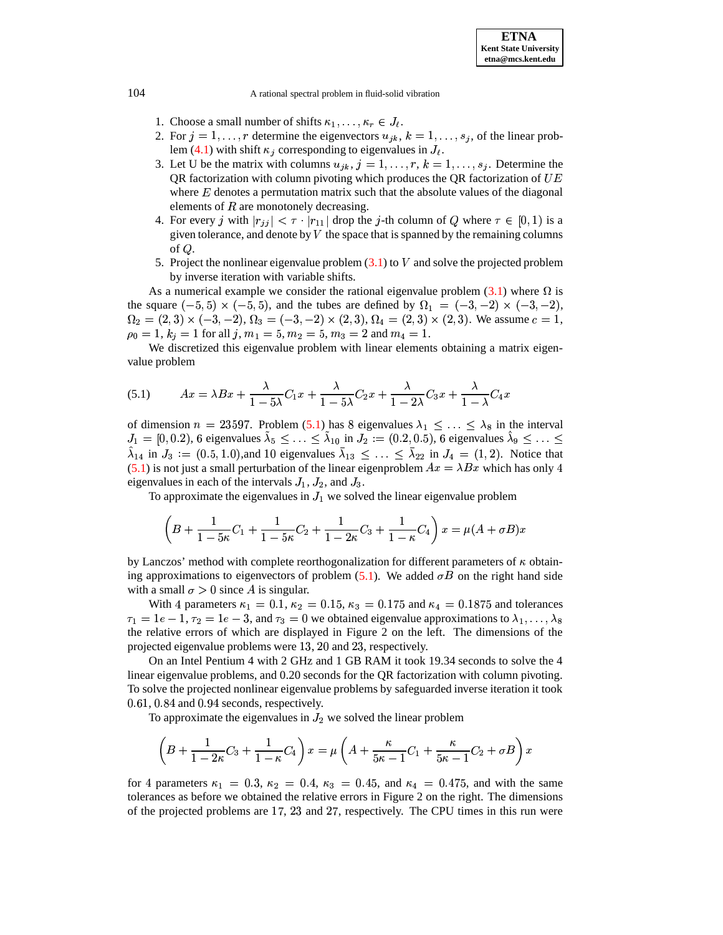- 1. Choose a small number of shifts  $\kappa_1, \ldots, \kappa_r \in J_\ell$ .
- 2. For  $j = 1, \ldots, r$  determine the eigenvectors  $u_{jk}$ ,  $k = 1, \ldots, s_j$ , of the linear prob-lem [\(4.1\)](#page-5-0) with shift  $\kappa_i$  corresponding to eigenvalues in  $J_\ell$ .
- 3. Let U be the matrix with columns  $u_{jk}$ ,  $j = 1, \ldots, r$ ,  $k = 1, \ldots, s_j$ . Determine the QR factorization with column pivoting which produces the QR factorization of  $UE$ <u>experimental property of the set of the set of the set of the set of the set of the set of the set of the set of the set of the set of the set of the set of the set of the set of the set of the set of the set of the set o</u> where  $E$  denotes a permutation matrix such that the absolute values of the diagonal elements of  $R$  are monotonely decreasing.
- 4. For every j with  $|r_{jj}| < \tau \cdot |r_{11}|$  drop the j-th column of Q where  $\tau \in [0,1)$  is a given tolerance and denote by V the space that is spanned by the remaining columns. given tolerance, and denote by  $V$  the space that is spanned by the remaining columns of  $Q$ .
- 5. Project the nonlinear eigenvalue problem  $(3.1)$  to V and solve the projected problem by inverse iteration with variable shifts.

As a numerical example we consider the rational eigenvalue problem  $(3.1)$  where  $\Omega$  is the square  $(-5, 5) \times (-5, 5)$ , and the tubes are defined by  $\Omega_1 = (-3, -2) \times (-3, -2)$ ,  $\Omega_2 = (2,3) \times (-3,-2), \Omega_3 = (-3,-2) \times (2,3), \Omega_4 = (2,3) \times (2,3).$  We assume  $c = 1$ ,  $\rho_0 = 1, k_j = 1$  for all  $j, m_1 = 5, m_2 = 5, m_3 = 2$  and  $m_4 = 1$ .

We discretized this eigenvalue problem with linear elements obtaining a matrix eigenvalue problem

<span id="page-10-0"></span>(5.1) 
$$
Ax = \lambda Bx + \frac{\lambda}{1 - 5\lambda}C_1x + \frac{\lambda}{1 - 5\lambda}C_2x + \frac{\lambda}{1 - 2\lambda}C_3x + \frac{\lambda}{1 - \lambda}C_4x
$$

of dimension  $n = 23597$ . Problem [\(5.1\)](#page-10-0) has 8 eigenvalues  $\lambda_1 \leq \ldots \leq \lambda_8$  in the interval  $J_1 = [0, 0.2), 6$  eigenvalues  $\lambda_5 \leq \ldots \leq \lambda_{10}$  in  $J_2 := (0.2, 0.5), 6$  eigenvalues  $\lambda_9 \leq \ldots \leq$  $\lambda_{14}$  in  $J_3 := (0.5, 1.0)$ , and 10 eigenvalues  $\bar{\lambda}_{13} \leq \ldots \leq \bar{\lambda}_{22}$  in  $J_4 = (1, 2)$ . Notice that [\(5.1\)](#page-10-0) is not just a small perturbation of the linear eigenproblem  $Ax = \lambda Bx$  which has only 4 eigenvalues in each of the intervals  $J_1$ ,  $J_2$ , and  $J_3$ .

To approximate the eigenvalues in  $J_1$  we solved the linear eigenvalue problem

$$
\left(B + \frac{1}{1 - 5\kappa}C_1 + \frac{1}{1 - 5\kappa}C_2 + \frac{1}{1 - 2\kappa}C_3 + \frac{1}{1 - \kappa}C_4\right)x = \mu(A + \sigma B)x
$$

by Lanczos' method with complete reorthogonalization for different parameters of  $\kappa$  obtaining approximations to eigenvectors of problem  $(5.1)$ . We added  $\sigma B$  on the right hand side with a small  $\sigma > 0$  since A is singular.

With 4 parameters  $\kappa_1 = 0.1$ ,  $\kappa_2 = 0.15$ ,  $\kappa_3 = 0.175$  and  $\kappa_4 = 0.1875$  and tolerances  $\tau_1 = 1e-1, \tau_2 = 1e-3$ , and  $\tau_3 = 0$  we obtained eigenvalue approximations to  $\lambda_1, \ldots, \lambda_8$ the relative errors of which are displayed in Figure 2 on the left. The dimensions of the projected eigenvalue problems were 13, 20 and 23, respectively.

On an Intel Pentium 4 with 2 GHz and 1 GB RAM it took 19.34 seconds to solve the 4 linear eigenvalue problems, and 0.20 seconds for the QR factorization with column pivoting. To solve the projected nonlinear eigenvalue problems by safeguarded inverse iteration it took  $0.61, 0.84$  and  $0.94$  seconds, respectively.

To approximate the eigenvalues in  $J_2$  we solved the linear problem

$$
\left(B + \frac{1}{1-2\kappa}C_3 + \frac{1}{1-\kappa}C_4\right)x = \mu\left(A + \frac{\kappa}{5\kappa - 1}C_1 + \frac{\kappa}{5\kappa - 1}C_2 + \sigma B\right)x
$$

for 4 parameters  $\kappa_1 = 0.3$ ,  $\kappa_2 = 0.4$ ,  $\kappa_3 = 0.45$ , and  $\kappa_4 = 0.475$ , and with the same tolerances as before we obtained the relative errors in Figure 2 on the right. The dimensions of the projected problems are 17, 23 and 27, respectively. The CPU times in this run were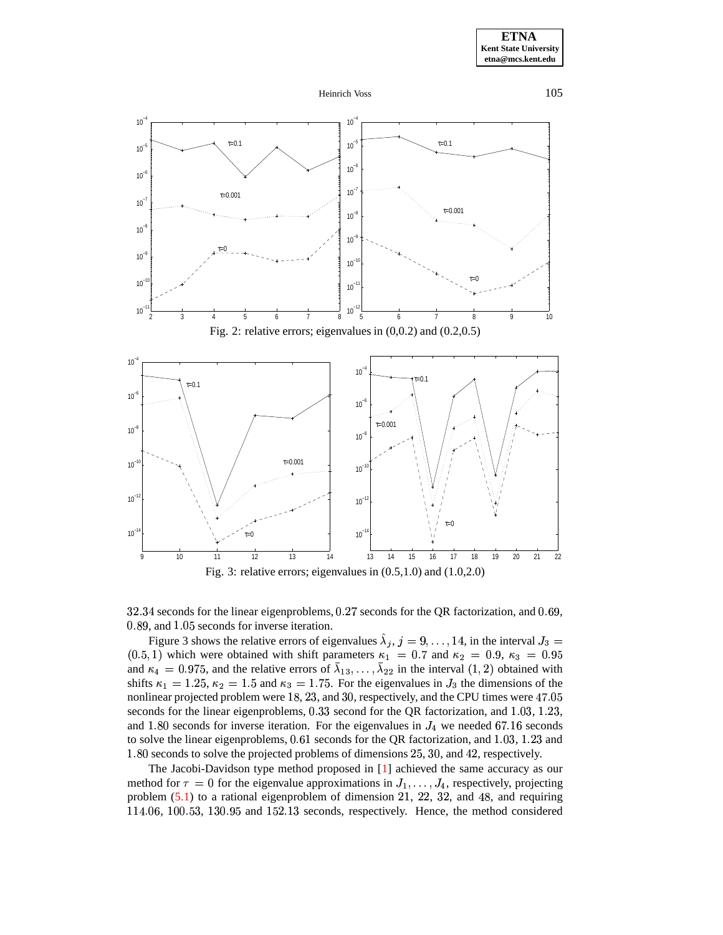









 $32.34$  seconds for the linear eigenproblems,  $0.27$  seconds for the QR factorization, and  $0.69$ , 0.89, and 1.05 seconds for inverse iteration.

Figure 3 shows the relative errors of eigenvalues  $\lambda_j$ ,  $j = 9, \ldots, 14$ , in the interval  $J_3 =$  $(0.5, 1)$  which were obtained with shift parameters  $\kappa_1 = 0.7$  and  $\kappa_2 = 0.9$ ,  $\kappa_3 = 0.95$ and  $\kappa_4 = 0.975$ , and the relative errors of  $\lambda_{13}, \ldots, \lambda_{22}$  in the interval  $(1, 2)$  obtained with shifts  $\kappa_1 = 1.25$ ,  $\kappa_2 = 1.5$  and  $\kappa_3 = 1.75$ . For the eigenvalues in  $J_3$  the dimensions of the nonlinear projected problem were 18, 23, and 30, respectively, and the CPU times were 47.05 seconds for the linear eigenproblems,  $0.33$  second for the QR factorization, and  $1.03$ ,  $1.23$ , and 1.80 seconds for inverse iteration. For the eigenvalues in  $J_4$  we needed 67.16 seconds to solve the linear eigenproblems,  $0.61$  seconds for the QR factorization, and  $1.03$ ,  $1.23$  and 1.80 seconds to solve the projected problems of dimensions 25, 30, and 42, respectively.

The Jacobi-Davidson type method proposed in [\[1\]](#page-12-14) achieved the same accuracy as our method for  $\tau = 0$  for the eigenvalue approximations in  $J_1, \ldots, J_4$ , respectively, projecting problem  $(5.1)$  to a rational eigenproblem of dimension 21, 22, 32, and 48, and requiring  $114.06$ ,  $100.53$ ,  $130.95$  and  $152.13$  seconds, respectively. Hence, the method considered